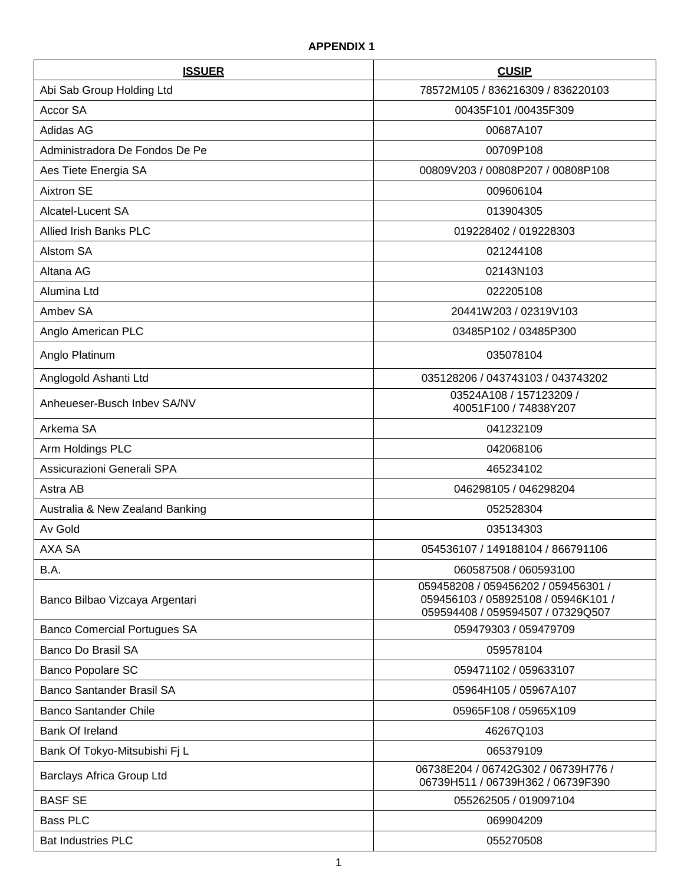| <b>ISSUER</b>                       | <b>CUSIP</b>                                                                                                    |
|-------------------------------------|-----------------------------------------------------------------------------------------------------------------|
| Abi Sab Group Holding Ltd           | 78572M105 / 836216309 / 836220103                                                                               |
| Accor SA                            | 00435F101 /00435F309                                                                                            |
| Adidas AG                           | 00687A107                                                                                                       |
| Administradora De Fondos De Pe      | 00709P108                                                                                                       |
| Aes Tiete Energia SA                | 00809V203 / 00808P207 / 00808P108                                                                               |
| <b>Aixtron SE</b>                   | 009606104                                                                                                       |
| Alcatel-Lucent SA                   | 013904305                                                                                                       |
| <b>Allied Irish Banks PLC</b>       | 019228402 / 019228303                                                                                           |
| Alstom SA                           | 021244108                                                                                                       |
| Altana AG                           | 02143N103                                                                                                       |
| Alumina Ltd                         | 022205108                                                                                                       |
| Ambey SA                            | 20441W203 / 02319V103                                                                                           |
| Anglo American PLC                  | 03485P102 / 03485P300                                                                                           |
| Anglo Platinum                      | 035078104                                                                                                       |
| Anglogold Ashanti Ltd               | 035128206 / 043743103 / 043743202                                                                               |
| Anheueser-Busch Inbey SA/NV         | 03524A108 / 157123209 /<br>40051F100 / 74838Y207                                                                |
| Arkema SA                           | 041232109                                                                                                       |
| Arm Holdings PLC                    | 042068106                                                                                                       |
| Assicurazioni Generali SPA          | 465234102                                                                                                       |
| Astra AB                            | 046298105 / 046298204                                                                                           |
| Australia & New Zealand Banking     | 052528304                                                                                                       |
| Av Gold                             | 035134303                                                                                                       |
| AXA SA                              | 054536107 / 149188104 / 866791106                                                                               |
| B.A.                                | 060587508 / 060593100                                                                                           |
| Banco Bilbao Vizcaya Argentari      | 059458208 / 059456202 / 059456301 /<br>059456103 / 058925108 / 05946K101 /<br>059594408 / 059594507 / 07329Q507 |
| <b>Banco Comercial Portugues SA</b> | 059479303 / 059479709                                                                                           |
| <b>Banco Do Brasil SA</b>           | 059578104                                                                                                       |
| Banco Popolare SC                   | 059471102 / 059633107                                                                                           |
| <b>Banco Santander Brasil SA</b>    | 05964H105 / 05967A107                                                                                           |
| <b>Banco Santander Chile</b>        | 05965F108 / 05965X109                                                                                           |
| Bank Of Ireland                     | 46267Q103                                                                                                       |
| Bank Of Tokyo-Mitsubishi Fj L       | 065379109                                                                                                       |
| Barclays Africa Group Ltd           | 06738E204 / 06742G302 / 06739H776 /<br>06739H511 / 06739H362 / 06739F390                                        |
| <b>BASF SE</b>                      | 055262505 / 019097104                                                                                           |
| <b>Bass PLC</b>                     | 069904209                                                                                                       |
| <b>Bat Industries PLC</b>           | 055270508                                                                                                       |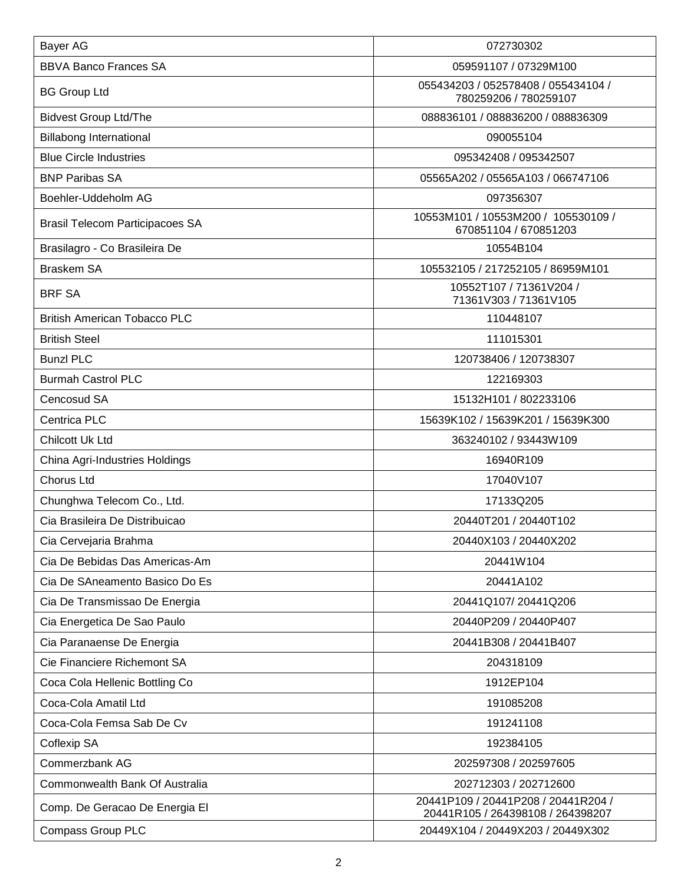| Bayer AG                               | 072730302                                                                |
|----------------------------------------|--------------------------------------------------------------------------|
| <b>BBVA Banco Frances SA</b>           | 059591107 / 07329M100                                                    |
| <b>BG Group Ltd</b>                    | 055434203 / 052578408 / 055434104 /<br>780259206 / 780259107             |
| <b>Bidvest Group Ltd/The</b>           | 088836101 / 088836200 / 088836309                                        |
| <b>Billabong International</b>         | 090055104                                                                |
| <b>Blue Circle Industries</b>          | 095342408 / 095342507                                                    |
| <b>BNP Paribas SA</b>                  | 05565A202 / 05565A103 / 066747106                                        |
| Boehler-Uddeholm AG                    | 097356307                                                                |
| <b>Brasil Telecom Participacoes SA</b> | 10553M101 / 10553M200 / 105530109 /<br>670851104 / 670851203             |
| Brasilagro - Co Brasileira De          | 10554B104                                                                |
| <b>Braskem SA</b>                      | 105532105 / 217252105 / 86959M101                                        |
| <b>BRF SA</b>                          | 10552T107 / 71361V204 /<br>71361V303 / 71361V105                         |
| <b>British American Tobacco PLC</b>    | 110448107                                                                |
| <b>British Steel</b>                   | 111015301                                                                |
| <b>Bunzl PLC</b>                       | 120738406 / 120738307                                                    |
| <b>Burmah Castrol PLC</b>              | 122169303                                                                |
| Cencosud SA                            | 15132H101 / 802233106                                                    |
| Centrica PLC                           | 15639K102 / 15639K201 / 15639K300                                        |
| Chilcott Uk Ltd                        | 363240102 / 93443W109                                                    |
| China Agri-Industries Holdings         | 16940R109                                                                |
| <b>Chorus Ltd</b>                      | 17040V107                                                                |
| Chunghwa Telecom Co., Ltd.             | 17133Q205                                                                |
| Cia Brasileira De Distribuicao         | 20440T201 / 20440T102                                                    |
| Cia Cervejaria Brahma                  | 20440X103 / 20440X202                                                    |
| Cia De Bebidas Das Americas-Am         | 20441W104                                                                |
| Cia De SAneamento Basico Do Es         | 20441A102                                                                |
| Cia De Transmissao De Energia          | 20441Q107/20441Q206                                                      |
| Cia Energetica De Sao Paulo            | 20440P209 / 20440P407                                                    |
| Cia Paranaense De Energia              | 20441B308 / 20441B407                                                    |
| Cie Financiere Richemont SA            | 204318109                                                                |
| Coca Cola Hellenic Bottling Co         | 1912EP104                                                                |
| Coca-Cola Amatil Ltd                   | 191085208                                                                |
| Coca-Cola Femsa Sab De Cv              | 191241108                                                                |
| Coflexip SA                            | 192384105                                                                |
| Commerzbank AG                         | 202597308 / 202597605                                                    |
| Commonwealth Bank Of Australia         | 202712303 / 202712600                                                    |
| Comp. De Geracao De Energia El         | 20441P109 / 20441P208 / 20441R204 /<br>20441R105 / 264398108 / 264398207 |
| Compass Group PLC                      | 20449X104 / 20449X203 / 20449X302                                        |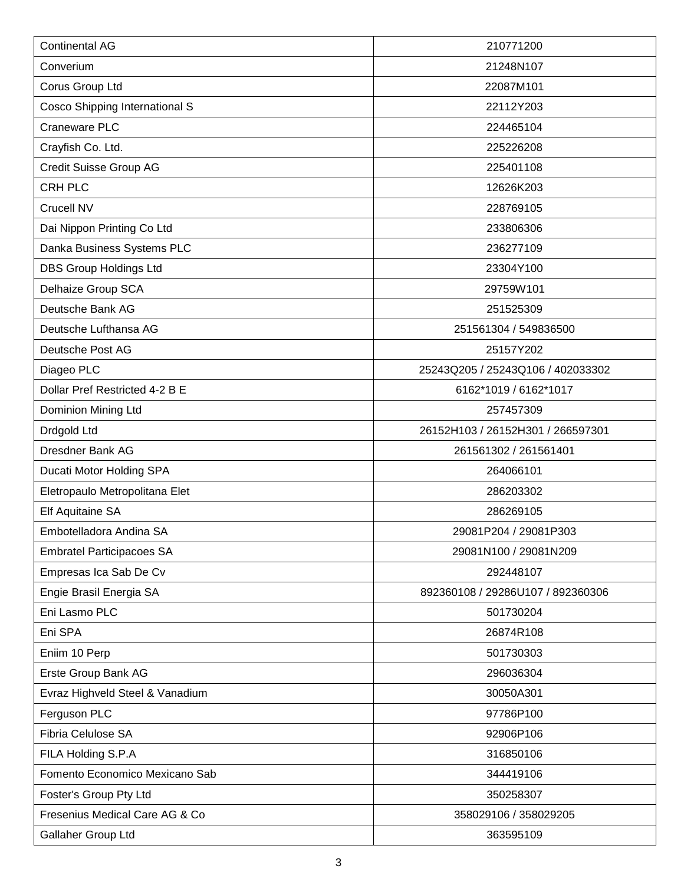| <b>Continental AG</b>            | 210771200                         |
|----------------------------------|-----------------------------------|
| Converium                        | 21248N107                         |
| Corus Group Ltd                  | 22087M101                         |
| Cosco Shipping International S   | 22112Y203                         |
| Craneware PLC                    | 224465104                         |
| Crayfish Co. Ltd.                | 225226208                         |
| Credit Suisse Group AG           | 225401108                         |
| <b>CRH PLC</b>                   | 12626K203                         |
| Crucell NV                       | 228769105                         |
| Dai Nippon Printing Co Ltd       | 233806306                         |
| Danka Business Systems PLC       | 236277109                         |
| <b>DBS Group Holdings Ltd</b>    | 23304Y100                         |
| Delhaize Group SCA               | 29759W101                         |
| Deutsche Bank AG                 | 251525309                         |
| Deutsche Lufthansa AG            | 251561304 / 549836500             |
| Deutsche Post AG                 | 25157Y202                         |
| Diageo PLC                       | 25243Q205 / 25243Q106 / 402033302 |
| Dollar Pref Restricted 4-2 B E   | 6162*1019 / 6162*1017             |
| Dominion Mining Ltd              | 257457309                         |
| Drdgold Ltd                      | 26152H103 / 26152H301 / 266597301 |
| Dresdner Bank AG                 | 261561302 / 261561401             |
| Ducati Motor Holding SPA         | 264066101                         |
| Eletropaulo Metropolitana Elet   | 286203302                         |
| Elf Aquitaine SA                 | 286269105                         |
| Embotelladora Andina SA          | 29081P204 / 29081P303             |
| <b>Embratel Participacoes SA</b> | 29081N100 / 29081N209             |
| Empresas Ica Sab De Cv           | 292448107                         |
| Engie Brasil Energia SA          | 892360108 / 29286U107 / 892360306 |
| Eni Lasmo PLC                    | 501730204                         |
| Eni SPA                          | 26874R108                         |
| Eniim 10 Perp                    | 501730303                         |
| Erste Group Bank AG              | 296036304                         |
| Evraz Highveld Steel & Vanadium  | 30050A301                         |
| Ferguson PLC                     | 97786P100                         |
| Fibria Celulose SA               | 92906P106                         |
| FILA Holding S.P.A               | 316850106                         |
| Fomento Economico Mexicano Sab   | 344419106                         |
| Foster's Group Pty Ltd           | 350258307                         |
| Fresenius Medical Care AG & Co   | 358029106 / 358029205             |
| Gallaher Group Ltd               | 363595109                         |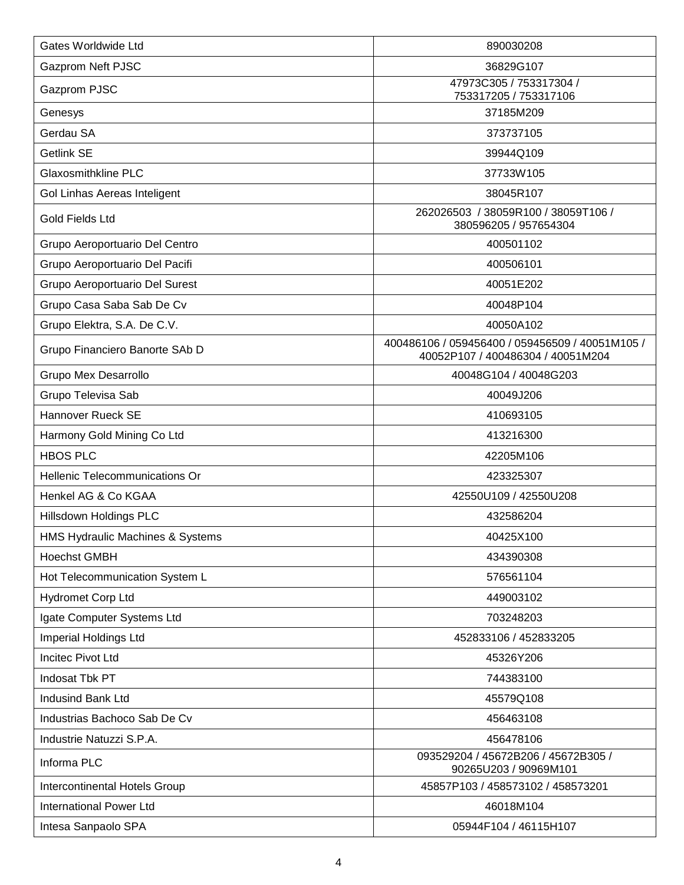| Gates Worldwide Ltd                   | 890030208                                                                            |
|---------------------------------------|--------------------------------------------------------------------------------------|
| <b>Gazprom Neft PJSC</b>              | 36829G107                                                                            |
| Gazprom PJSC                          | 47973C305 / 753317304 /<br>753317205 / 753317106                                     |
| Genesys                               | 37185M209                                                                            |
| Gerdau SA                             | 373737105                                                                            |
| Getlink SE                            | 39944Q109                                                                            |
| <b>Glaxosmithkline PLC</b>            | 37733W105                                                                            |
| Gol Linhas Aereas Inteligent          | 38045R107                                                                            |
| <b>Gold Fields Ltd</b>                | 262026503 / 38059R100 / 38059T106 /<br>380596205 / 957654304                         |
| Grupo Aeroportuario Del Centro        | 400501102                                                                            |
| Grupo Aeroportuario Del Pacifi        | 400506101                                                                            |
| Grupo Aeroportuario Del Surest        | 40051E202                                                                            |
| Grupo Casa Saba Sab De Cv             | 40048P104                                                                            |
| Grupo Elektra, S.A. De C.V.           | 40050A102                                                                            |
| Grupo Financiero Banorte SAb D        | 400486106 / 059456400 / 059456509 / 40051M105 /<br>40052P107 / 400486304 / 40051M204 |
| <b>Grupo Mex Desarrollo</b>           | 40048G104 / 40048G203                                                                |
| Grupo Televisa Sab                    | 40049J206                                                                            |
| Hannover Rueck SE                     | 410693105                                                                            |
| Harmony Gold Mining Co Ltd            | 413216300                                                                            |
| <b>HBOS PLC</b>                       | 42205M106                                                                            |
| <b>Hellenic Telecommunications Or</b> | 423325307                                                                            |
| Henkel AG & Co KGAA                   | 42550U109 / 42550U208                                                                |
| Hillsdown Holdings PLC                | 432586204                                                                            |
| HMS Hydraulic Machines & Systems      | 40425X100                                                                            |
| <b>Hoechst GMBH</b>                   | 434390308                                                                            |
| Hot Telecommunication System L        | 576561104                                                                            |
| <b>Hydromet Corp Ltd</b>              | 449003102                                                                            |
| Igate Computer Systems Ltd            | 703248203                                                                            |
| Imperial Holdings Ltd                 | 452833106 / 452833205                                                                |
| <b>Incitec Pivot Ltd</b>              | 45326Y206                                                                            |
| Indosat Tbk PT                        | 744383100                                                                            |
| Indusind Bank Ltd                     | 45579Q108                                                                            |
| Industrias Bachoco Sab De Cv          | 456463108                                                                            |
| Industrie Natuzzi S.P.A.              | 456478106                                                                            |
| Informa PLC                           | 093529204 / 45672B206 / 45672B305 /<br>90265U203 / 90969M101                         |
| Intercontinental Hotels Group         | 45857P103 / 458573102 / 458573201                                                    |
| <b>International Power Ltd</b>        | 46018M104                                                                            |
| Intesa Sanpaolo SPA                   | 05944F104 / 46115H107                                                                |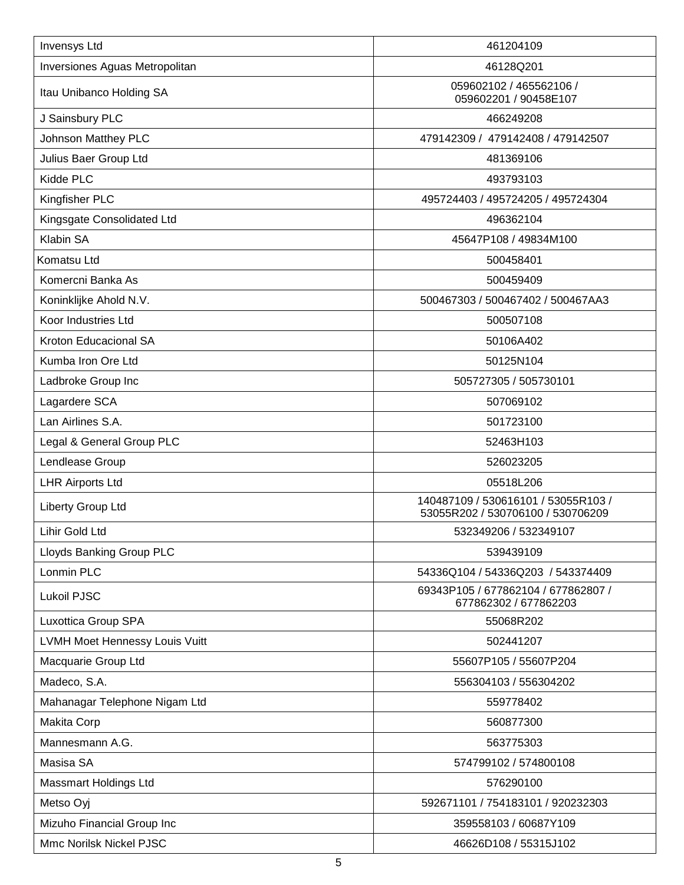| <b>Invensys Ltd</b>             | 461204109                                                                |
|---------------------------------|--------------------------------------------------------------------------|
| Inversiones Aguas Metropolitan  | 46128Q201                                                                |
| Itau Unibanco Holding SA        | 059602102 / 465562106 /<br>059602201 / 90458E107                         |
| J Sainsbury PLC                 | 466249208                                                                |
| <b>Johnson Matthey PLC</b>      | 479142309 / 479142408 / 479142507                                        |
| Julius Baer Group Ltd           | 481369106                                                                |
| Kidde PLC                       | 493793103                                                                |
| Kingfisher PLC                  | 495724403 / 495724205 / 495724304                                        |
| Kingsgate Consolidated Ltd      | 496362104                                                                |
| Klabin SA                       | 45647P108 / 49834M100                                                    |
| Komatsu Ltd                     | 500458401                                                                |
| Komercni Banka As               | 500459409                                                                |
| Koninklijke Ahold N.V.          | 500467303 / 500467402 / 500467AA3                                        |
| Koor Industries Ltd             | 500507108                                                                |
| Kroton Educacional SA           | 50106A402                                                                |
| Kumba Iron Ore Ltd              | 50125N104                                                                |
| Ladbroke Group Inc              | 505727305 / 505730101                                                    |
| Lagardere SCA                   | 507069102                                                                |
| Lan Airlines S.A.               | 501723100                                                                |
| Legal & General Group PLC       | 52463H103                                                                |
| Lendlease Group                 | 526023205                                                                |
| <b>LHR Airports Ltd</b>         | 05518L206                                                                |
| Liberty Group Ltd               | 140487109 / 530616101 / 53055R103 /<br>53055R202 / 530706100 / 530706209 |
| Lihir Gold Ltd                  | 532349206 / 532349107                                                    |
| <b>Lloyds Banking Group PLC</b> | 539439109                                                                |
| Lonmin PLC                      | 54336Q104 / 54336Q203 / 543374409                                        |
| <b>Lukoil PJSC</b>              | 69343P105 / 677862104 / 677862807 /<br>677862302 / 677862203             |
| Luxottica Group SPA             | 55068R202                                                                |
| LVMH Moet Hennessy Louis Vuitt  | 502441207                                                                |
| Macquarie Group Ltd             | 55607P105 / 55607P204                                                    |
| Madeco, S.A.                    | 556304103 / 556304202                                                    |
| Mahanagar Telephone Nigam Ltd   | 559778402                                                                |
| Makita Corp                     | 560877300                                                                |
| Mannesmann A.G.                 | 563775303                                                                |
| Masisa SA                       | 574799102 / 574800108                                                    |
| <b>Massmart Holdings Ltd</b>    | 576290100                                                                |
| Metso Oyj                       | 592671101 / 754183101 / 920232303                                        |
| Mizuho Financial Group Inc      | 359558103 / 60687Y109                                                    |
| Mmc Norilsk Nickel PJSC         | 46626D108 / 55315J102                                                    |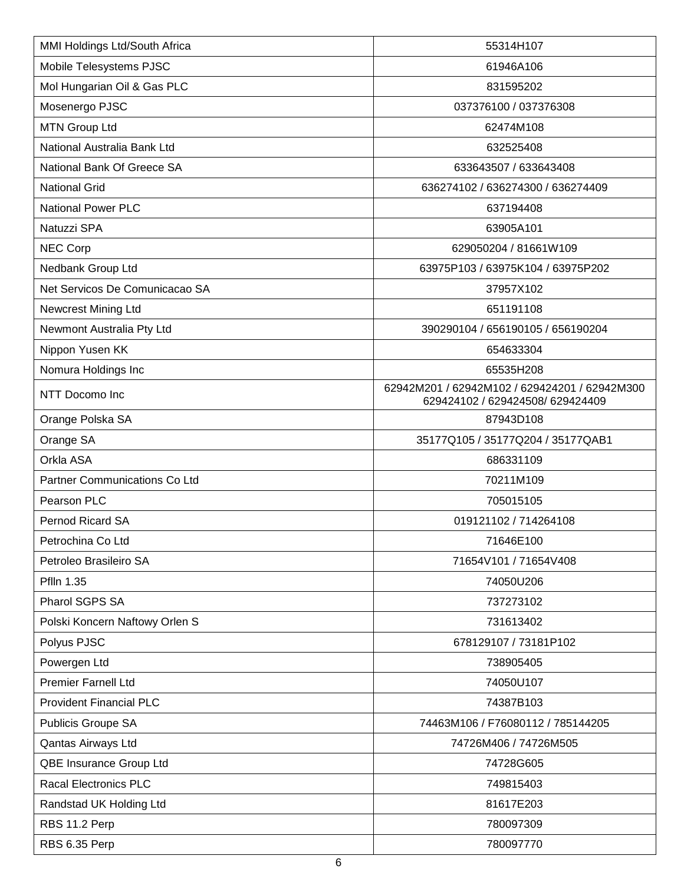| MMI Holdings Ltd/South Africa  | 55314H107                                                                         |
|--------------------------------|-----------------------------------------------------------------------------------|
| Mobile Telesystems PJSC        | 61946A106                                                                         |
| Mol Hungarian Oil & Gas PLC    | 831595202                                                                         |
| Mosenergo PJSC                 | 037376100 / 037376308                                                             |
| <b>MTN Group Ltd</b>           | 62474M108                                                                         |
| National Australia Bank Ltd    | 632525408                                                                         |
| National Bank Of Greece SA     | 633643507 / 633643408                                                             |
| <b>National Grid</b>           | 636274102 / 636274300 / 636274409                                                 |
| <b>National Power PLC</b>      | 637194408                                                                         |
| Natuzzi SPA                    | 63905A101                                                                         |
| NEC Corp                       | 629050204 / 81661W109                                                             |
| Nedbank Group Ltd              | 63975P103 / 63975K104 / 63975P202                                                 |
| Net Servicos De Comunicacao SA | 37957X102                                                                         |
| <b>Newcrest Mining Ltd</b>     | 651191108                                                                         |
| Newmont Australia Pty Ltd      | 390290104 / 656190105 / 656190204                                                 |
| Nippon Yusen KK                | 654633304                                                                         |
| Nomura Holdings Inc            | 65535H208                                                                         |
| NTT Docomo Inc                 | 62942M201 / 62942M102 / 629424201 / 62942M300<br>629424102 / 629424508/ 629424409 |
| Orange Polska SA               | 87943D108                                                                         |
| Orange SA                      | 35177Q105 / 35177Q204 / 35177QAB1                                                 |
| Orkla ASA                      | 686331109                                                                         |
| Partner Communications Co Ltd  | 70211M109                                                                         |
| Pearson PLC                    | 705015105                                                                         |
| Pernod Ricard SA               | 019121102 / 714264108                                                             |
| Petrochina Co Ltd              | 71646E100                                                                         |
| Petroleo Brasileiro SA         | 71654V101 / 71654V408                                                             |
| Pflln 1.35                     | 74050U206                                                                         |
| Pharol SGPS SA                 | 737273102                                                                         |
| Polski Koncern Naftowy Orlen S | 731613402                                                                         |
| Polyus PJSC                    | 678129107 / 73181P102                                                             |
| Powergen Ltd                   | 738905405                                                                         |
| <b>Premier Farnell Ltd</b>     | 74050U107                                                                         |
| <b>Provident Financial PLC</b> | 74387B103                                                                         |
| Publicis Groupe SA             | 74463M106 / F76080112 / 785144205                                                 |
| Qantas Airways Ltd             | 74726M406 / 74726M505                                                             |
| QBE Insurance Group Ltd        | 74728G605                                                                         |
| <b>Racal Electronics PLC</b>   | 749815403                                                                         |
| Randstad UK Holding Ltd        | 81617E203                                                                         |
| RBS 11.2 Perp                  | 780097309                                                                         |
| RBS 6.35 Perp                  | 780097770                                                                         |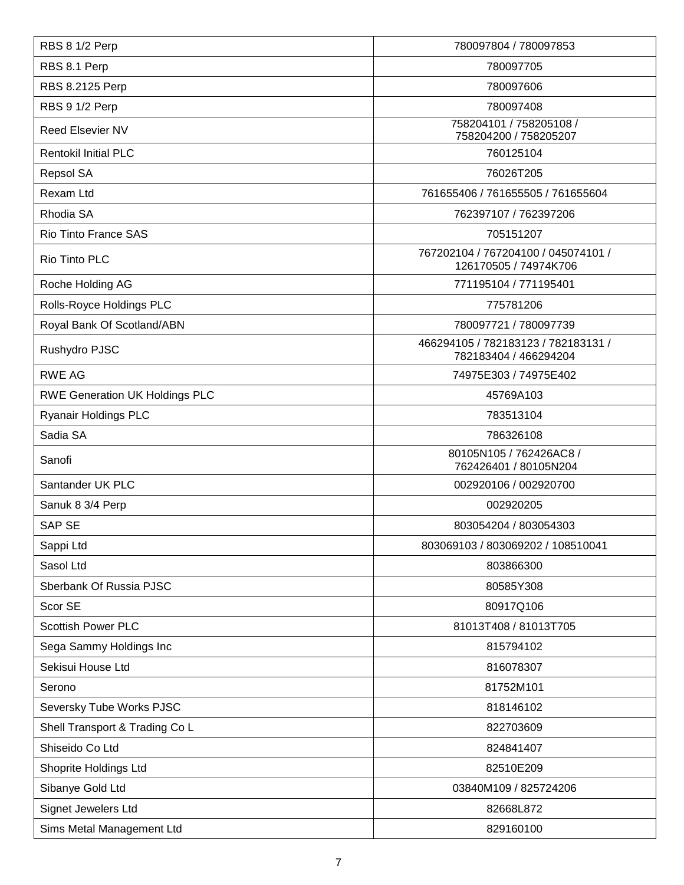| RBS 8 1/2 Perp                        | 780097804 / 780097853                                        |
|---------------------------------------|--------------------------------------------------------------|
| RBS 8.1 Perp                          | 780097705                                                    |
| RBS 8.2125 Perp                       | 780097606                                                    |
| RBS 9 1/2 Perp                        | 780097408                                                    |
| <b>Reed Elsevier NV</b>               | 758204101 / 758205108 /<br>758204200 / 758205207             |
| <b>Rentokil Initial PLC</b>           | 760125104                                                    |
| Repsol SA                             | 76026T205                                                    |
| Rexam Ltd                             | 761655406 / 761655505 / 761655604                            |
| Rhodia SA                             | 762397107 / 762397206                                        |
| Rio Tinto France SAS                  | 705151207                                                    |
| Rio Tinto PLC                         | 767202104 / 767204100 / 045074101 /<br>126170505 / 74974K706 |
| Roche Holding AG                      | 771195104 / 771195401                                        |
| Rolls-Royce Holdings PLC              | 775781206                                                    |
| Royal Bank Of Scotland/ABN            | 780097721 / 780097739                                        |
| Rushydro PJSC                         | 466294105 / 782183123 / 782183131 /<br>782183404 / 466294204 |
| <b>RWE AG</b>                         | 74975E303 / 74975E402                                        |
| <b>RWE Generation UK Holdings PLC</b> | 45769A103                                                    |
| <b>Ryanair Holdings PLC</b>           | 783513104                                                    |
| Sadia SA                              | 786326108                                                    |
| Sanofi                                | 80105N105 / 762426AC8 /<br>762426401 / 80105N204             |
| Santander UK PLC                      | 002920106 / 002920700                                        |
| Sanuk 8 3/4 Perp                      | 002920205                                                    |
| <b>SAP SE</b>                         | 803054204 / 803054303                                        |
| Sappi Ltd                             | 803069103 / 803069202 / 108510041                            |
| Sasol Ltd                             | 803866300                                                    |
| Sberbank Of Russia PJSC               | 80585Y308                                                    |
| Scor SE                               | 80917Q106                                                    |
| <b>Scottish Power PLC</b>             | 81013T408 / 81013T705                                        |
| Sega Sammy Holdings Inc               | 815794102                                                    |
| Sekisui House Ltd                     | 816078307                                                    |
| Serono                                | 81752M101                                                    |
| Seversky Tube Works PJSC              | 818146102                                                    |
| Shell Transport & Trading Co L        | 822703609                                                    |
| Shiseido Co Ltd                       | 824841407                                                    |
| Shoprite Holdings Ltd                 | 82510E209                                                    |
| Sibanye Gold Ltd                      | 03840M109 / 825724206                                        |
| Signet Jewelers Ltd                   | 82668L872                                                    |
| Sims Metal Management Ltd             | 829160100                                                    |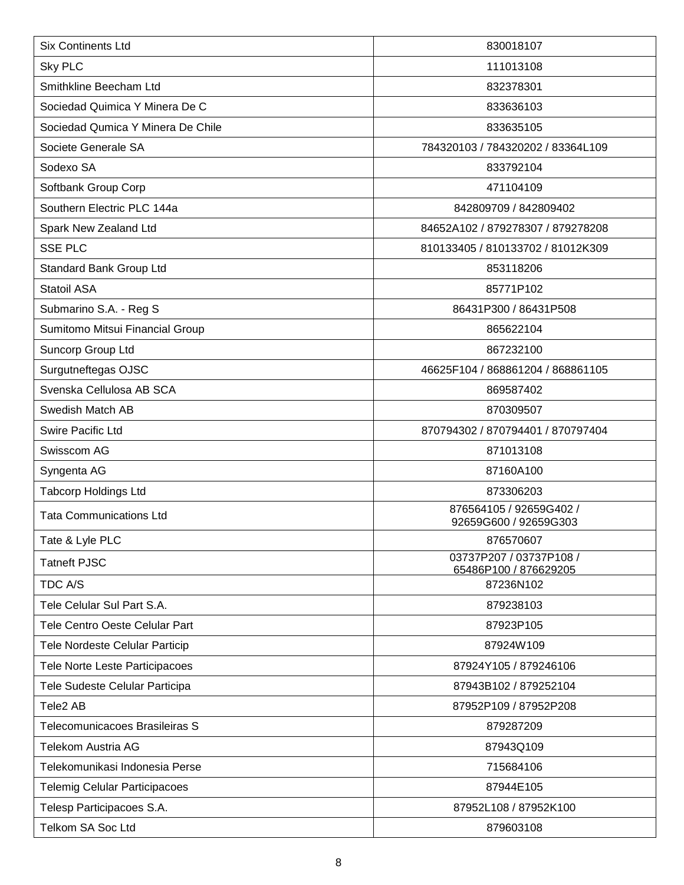| <b>Six Continents Ltd</b>            | 830018107                                        |
|--------------------------------------|--------------------------------------------------|
| Sky PLC                              | 111013108                                        |
| Smithkline Beecham Ltd               | 832378301                                        |
| Sociedad Quimica Y Minera De C       | 833636103                                        |
| Sociedad Qumica Y Minera De Chile    | 833635105                                        |
| Societe Generale SA                  | 784320103 / 784320202 / 83364L109                |
| Sodexo SA                            | 833792104                                        |
| Softbank Group Corp                  | 471104109                                        |
| Southern Electric PLC 144a           | 842809709 / 842809402                            |
| Spark New Zealand Ltd                | 84652A102 / 879278307 / 879278208                |
| <b>SSE PLC</b>                       | 810133405 / 810133702 / 81012K309                |
| Standard Bank Group Ltd              | 853118206                                        |
| Statoil ASA                          | 85771P102                                        |
| Submarino S.A. - Reg S               | 86431P300 / 86431P508                            |
| Sumitomo Mitsui Financial Group      | 865622104                                        |
| Suncorp Group Ltd                    | 867232100                                        |
| Surgutneftegas OJSC                  | 46625F104 / 868861204 / 868861105                |
| Svenska Cellulosa AB SCA             | 869587402                                        |
| Swedish Match AB                     | 870309507                                        |
| <b>Swire Pacific Ltd</b>             | 870794302 / 870794401 / 870797404                |
| Swisscom AG                          | 871013108                                        |
| Syngenta AG                          | 87160A100                                        |
| <b>Tabcorp Holdings Ltd</b>          | 873306203                                        |
| <b>Tata Communications Ltd</b>       | 876564105 / 92659G402 /<br>92659G600 / 92659G303 |
| Tate & Lyle PLC                      | 876570607                                        |
| <b>Tatneft PJSC</b>                  | 03737P207 / 03737P108 /<br>65486P100 / 876629205 |
| TDC A/S                              | 87236N102                                        |
| Tele Celular Sul Part S.A.           | 879238103                                        |
| Tele Centro Oeste Celular Part       | 87923P105                                        |
| Tele Nordeste Celular Particip       | 87924W109                                        |
| Tele Norte Leste Participacoes       | 87924Y105 / 879246106                            |
| Tele Sudeste Celular Participa       | 87943B102 / 879252104                            |
| Tele2 AB                             | 87952P109 / 87952P208                            |
| Telecomunicacoes Brasileiras S       | 879287209                                        |
| Telekom Austria AG                   | 87943Q109                                        |
| Telekomunikasi Indonesia Perse       | 715684106                                        |
| <b>Telemig Celular Participacoes</b> | 87944E105                                        |
| Telesp Participacoes S.A.            | 87952L108 / 87952K100                            |
| Telkom SA Soc Ltd                    | 879603108                                        |